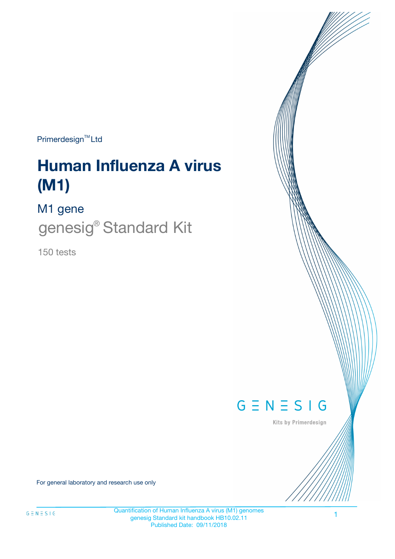Primerdesign<sup>™</sup>Ltd

# **Human Influenza A virus (M1)**

M1 gene

genesig® Standard Kit

150 tests



Kits by Primerdesign

For general laboratory and research use only

Quantification of Human Influenza A virus (M1) genomes genesig Standard kit handbook HB10.02.11 Published Date: 09/11/2018

1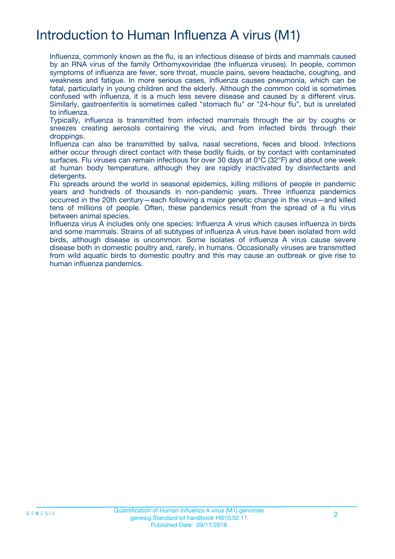# Introduction to Human Influenza A virus (M1)

Influenza, commonly known as the flu, is an infectious disease of birds and mammals caused by an RNA virus of the family Orthomyxoviridae (the influenza viruses). In people, common symptoms of influenza are fever, sore throat, muscle pains, severe headache, coughing, and weakness and fatigue. In more serious cases, influenza causes pneumonia, which can be fatal, particularly in young children and the elderly. Although the common cold is sometimes confused with influenza, it is a much less severe disease and caused by a different virus. Similarly, gastroenteritis is sometimes called "stomach flu" or "24-hour flu", but is unrelated to influenza.

Typically, influenza is transmitted from infected mammals through the air by coughs or sneezes creating aerosols containing the virus, and from infected birds through their droppings.

Influenza can also be transmitted by saliva, nasal secretions, feces and blood. Infections either occur through direct contact with these bodily fluids, or by contact with contaminated surfaces. Flu viruses can remain infectious for over 30 days at 0°C (32°F) and about one week at human body temperature, although they are rapidly inactivated by disinfectants and detergents.

Flu spreads around the world in seasonal epidemics, killing millions of people in pandemic years and hundreds of thousands in non-pandemic years. Three influenza pandemics occurred in the 20th century—each following a major genetic change in the virus—and killed tens of millions of people. Often, these pandemics result from the spread of a flu virus between animal species.

Influenza virus A includes only one species: Influenza A virus which causes influenza in birds and some mammals. Strains of all subtypes of influenza A virus have been isolated from wild birds, although disease is uncommon. Some isolates of influenza A virus cause severe disease both in domestic poultry and, rarely, in humans. Occasionally viruses are transmitted from wild aquatic birds to domestic poultry and this may cause an outbreak or give rise to human influenza pandemics.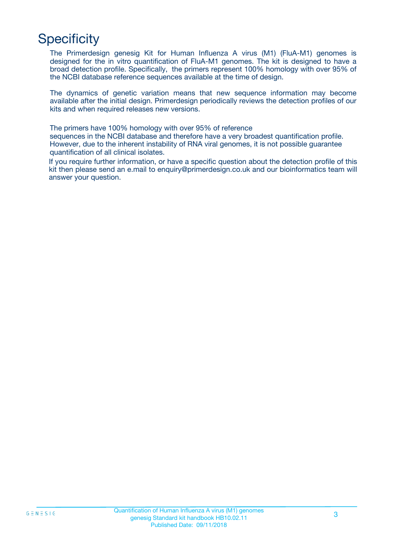# **Specificity**

The Primerdesign genesig Kit for Human Influenza A virus (M1) (FluA-M1) genomes is designed for the in vitro quantification of FluA-M1 genomes. The kit is designed to have a broad detection profile. Specifically, the primers represent 100% homology with over 95% of the NCBI database reference sequences available at the time of design.

The dynamics of genetic variation means that new sequence information may become available after the initial design. Primerdesign periodically reviews the detection profiles of our kits and when required releases new versions.

The primers have 100% homology with over 95% of reference

sequences in the NCBI database and therefore have a very broadest quantification profile. However, due to the inherent instability of RNA viral genomes, it is not possible guarantee quantification of all clinical isolates.

If you require further information, or have a specific question about the detection profile of this kit then please send an e.mail to enquiry@primerdesign.co.uk and our bioinformatics team will answer your question.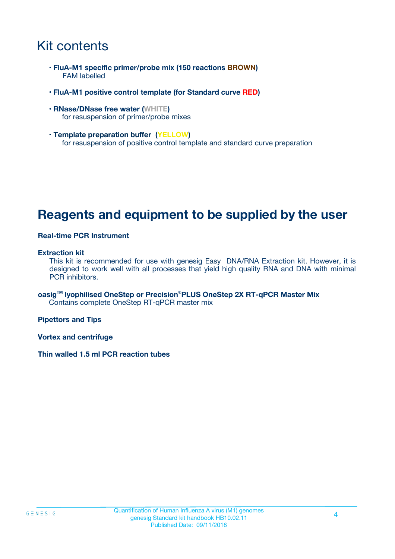# Kit contents

- **FluA-M1 specific primer/probe mix (150 reactions BROWN)** FAM labelled
- **FluA-M1 positive control template (for Standard curve RED)**
- **RNase/DNase free water (WHITE)** for resuspension of primer/probe mixes
- **Template preparation buffer (YELLOW)** for resuspension of positive control template and standard curve preparation

## **Reagents and equipment to be supplied by the user**

#### **Real-time PCR Instrument**

#### **Extraction kit**

This kit is recommended for use with genesig Easy DNA/RNA Extraction kit. However, it is designed to work well with all processes that yield high quality RNA and DNA with minimal PCR inhibitors.

**oasigTM lyophilised OneStep or Precision**®**PLUS OneStep 2X RT-qPCR Master Mix** Contains complete OneStep RT-qPCR master mix

**Pipettors and Tips**

**Vortex and centrifuge**

**Thin walled 1.5 ml PCR reaction tubes**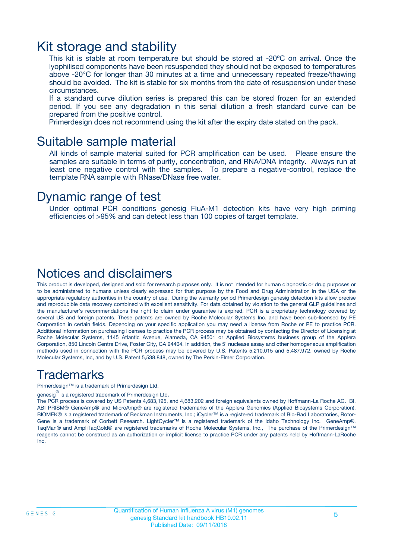### Kit storage and stability

This kit is stable at room temperature but should be stored at -20ºC on arrival. Once the lyophilised components have been resuspended they should not be exposed to temperatures above -20°C for longer than 30 minutes at a time and unnecessary repeated freeze/thawing should be avoided. The kit is stable for six months from the date of resuspension under these circumstances.

If a standard curve dilution series is prepared this can be stored frozen for an extended period. If you see any degradation in this serial dilution a fresh standard curve can be prepared from the positive control.

Primerdesign does not recommend using the kit after the expiry date stated on the pack.

### Suitable sample material

All kinds of sample material suited for PCR amplification can be used. Please ensure the samples are suitable in terms of purity, concentration, and RNA/DNA integrity. Always run at least one negative control with the samples. To prepare a negative-control, replace the template RNA sample with RNase/DNase free water.

### Dynamic range of test

Under optimal PCR conditions genesig FluA-M1 detection kits have very high priming efficiencies of >95% and can detect less than 100 copies of target template.

### Notices and disclaimers

This product is developed, designed and sold for research purposes only. It is not intended for human diagnostic or drug purposes or to be administered to humans unless clearly expressed for that purpose by the Food and Drug Administration in the USA or the appropriate regulatory authorities in the country of use. During the warranty period Primerdesign genesig detection kits allow precise and reproducible data recovery combined with excellent sensitivity. For data obtained by violation to the general GLP guidelines and the manufacturer's recommendations the right to claim under guarantee is expired. PCR is a proprietary technology covered by several US and foreign patents. These patents are owned by Roche Molecular Systems Inc. and have been sub-licensed by PE Corporation in certain fields. Depending on your specific application you may need a license from Roche or PE to practice PCR. Additional information on purchasing licenses to practice the PCR process may be obtained by contacting the Director of Licensing at Roche Molecular Systems, 1145 Atlantic Avenue, Alameda, CA 94501 or Applied Biosystems business group of the Applera Corporation, 850 Lincoln Centre Drive, Foster City, CA 94404. In addition, the 5' nuclease assay and other homogeneous amplification methods used in connection with the PCR process may be covered by U.S. Patents 5,210,015 and 5,487,972, owned by Roche Molecular Systems, Inc, and by U.S. Patent 5,538,848, owned by The Perkin-Elmer Corporation.

### Trademarks

Primerdesign™ is a trademark of Primerdesign Ltd.

genesig $^\circledR$  is a registered trademark of Primerdesign Ltd.

The PCR process is covered by US Patents 4,683,195, and 4,683,202 and foreign equivalents owned by Hoffmann-La Roche AG. BI, ABI PRISM® GeneAmp® and MicroAmp® are registered trademarks of the Applera Genomics (Applied Biosystems Corporation). BIOMEK® is a registered trademark of Beckman Instruments, Inc.; iCycler™ is a registered trademark of Bio-Rad Laboratories, Rotor-Gene is a trademark of Corbett Research. LightCycler™ is a registered trademark of the Idaho Technology Inc. GeneAmp®, TaqMan® and AmpliTaqGold® are registered trademarks of Roche Molecular Systems, Inc., The purchase of the Primerdesign™ reagents cannot be construed as an authorization or implicit license to practice PCR under any patents held by Hoffmann-LaRoche Inc.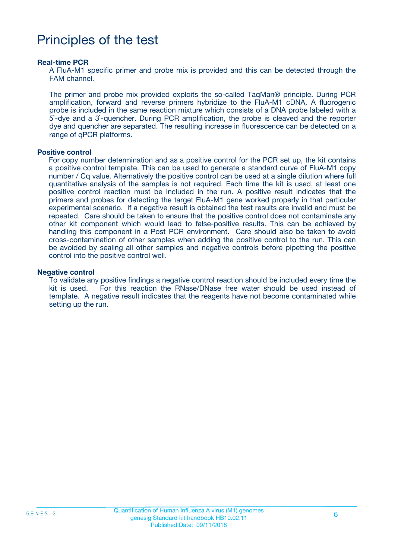# Principles of the test

#### **Real-time PCR**

A FluA-M1 specific primer and probe mix is provided and this can be detected through the FAM channel.

The primer and probe mix provided exploits the so-called TaqMan® principle. During PCR amplification, forward and reverse primers hybridize to the FluA-M1 cDNA. A fluorogenic probe is included in the same reaction mixture which consists of a DNA probe labeled with a 5`-dye and a 3`-quencher. During PCR amplification, the probe is cleaved and the reporter dye and quencher are separated. The resulting increase in fluorescence can be detected on a range of qPCR platforms.

#### **Positive control**

For copy number determination and as a positive control for the PCR set up, the kit contains a positive control template. This can be used to generate a standard curve of FluA-M1 copy number / Cq value. Alternatively the positive control can be used at a single dilution where full quantitative analysis of the samples is not required. Each time the kit is used, at least one positive control reaction must be included in the run. A positive result indicates that the primers and probes for detecting the target FluA-M1 gene worked properly in that particular experimental scenario. If a negative result is obtained the test results are invalid and must be repeated. Care should be taken to ensure that the positive control does not contaminate any other kit component which would lead to false-positive results. This can be achieved by handling this component in a Post PCR environment. Care should also be taken to avoid cross-contamination of other samples when adding the positive control to the run. This can be avoided by sealing all other samples and negative controls before pipetting the positive control into the positive control well.

#### **Negative control**

To validate any positive findings a negative control reaction should be included every time the kit is used. For this reaction the RNase/DNase free water should be used instead of template. A negative result indicates that the reagents have not become contaminated while setting up the run.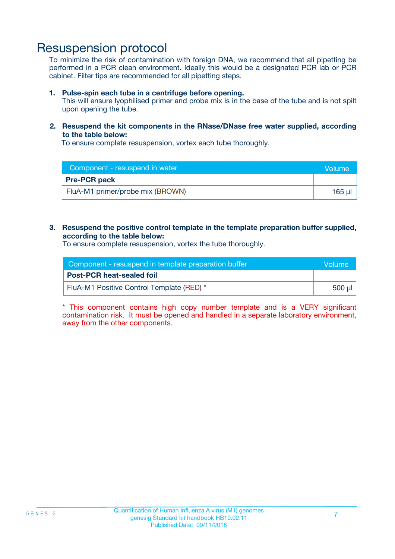### Resuspension protocol

To minimize the risk of contamination with foreign DNA, we recommend that all pipetting be performed in a PCR clean environment. Ideally this would be a designated PCR lab or PCR cabinet. Filter tips are recommended for all pipetting steps.

#### **1. Pulse-spin each tube in a centrifuge before opening.**

This will ensure lyophilised primer and probe mix is in the base of the tube and is not spilt upon opening the tube.

#### **2. Resuspend the kit components in the RNase/DNase free water supplied, according to the table below:**

To ensure complete resuspension, vortex each tube thoroughly.

| Component - resuspend in water   | <b>Nolume</b> |
|----------------------------------|---------------|
| <b>Pre-PCR pack</b>              |               |
| FluA-M1 primer/probe mix (BROWN) | 165 µl        |

#### **3. Resuspend the positive control template in the template preparation buffer supplied, according to the table below:**

To ensure complete resuspension, vortex the tube thoroughly.

| Component - resuspend in template preparation buffer |         |  |
|------------------------------------------------------|---------|--|
| <b>Post-PCR heat-sealed foil</b>                     |         |  |
| FluA-M1 Positive Control Template (RED) *            | .500 ul |  |

\* This component contains high copy number template and is a VERY significant contamination risk. It must be opened and handled in a separate laboratory environment, away from the other components.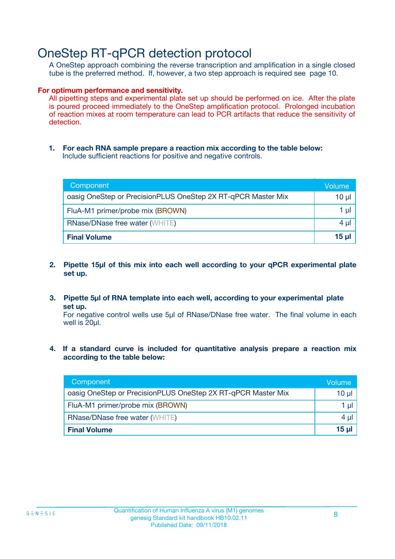## OneStep RT-qPCR detection protocol

A OneStep approach combining the reverse transcription and amplification in a single closed tube is the preferred method. If, however, a two step approach is required see page 10.

#### **For optimum performance and sensitivity.**

All pipetting steps and experimental plate set up should be performed on ice. After the plate is poured proceed immediately to the OneStep amplification protocol. Prolonged incubation of reaction mixes at room temperature can lead to PCR artifacts that reduce the sensitivity of detection.

**1. For each RNA sample prepare a reaction mix according to the table below:** Include sufficient reactions for positive and negative controls.

| Component                                                    | Volume   |
|--------------------------------------------------------------|----------|
| oasig OneStep or PrecisionPLUS OneStep 2X RT-qPCR Master Mix | $10 \mu$ |
| FluA-M1 primer/probe mix (BROWN)                             | 1 µl     |
| <b>RNase/DNase free water (WHITE)</b>                        | $4 \mu$  |
| <b>Final Volume</b>                                          | $15$ µ   |

- **2. Pipette 15µl of this mix into each well according to your qPCR experimental plate set up.**
- **3. Pipette 5µl of RNA template into each well, according to your experimental plate set up.**

For negative control wells use 5µl of RNase/DNase free water. The final volume in each well is 20ul.

**4. If a standard curve is included for quantitative analysis prepare a reaction mix according to the table below:**

| Component                                                    | Volume |
|--------------------------------------------------------------|--------|
| oasig OneStep or PrecisionPLUS OneStep 2X RT-qPCR Master Mix | 10 µl  |
| FluA-M1 primer/probe mix (BROWN)                             | 1 µl   |
| <b>RNase/DNase free water (WHITE)</b>                        | 4 µl   |
| <b>Final Volume</b>                                          | 15 ul  |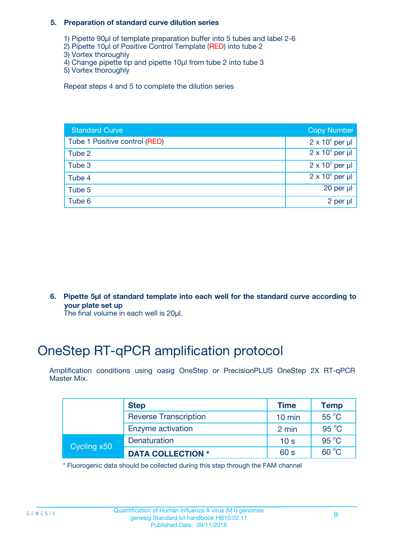#### **5. Preparation of standard curve dilution series**

- 1) Pipette 90µl of template preparation buffer into 5 tubes and label 2-6
- 2) Pipette 10µl of Positive Control Template (RED) into tube 2
- 3) Vortex thoroughly
- 4) Change pipette tip and pipette 10µl from tube 2 into tube 3
- 5) Vortex thoroughly

Repeat steps 4 and 5 to complete the dilution series

| <b>Standard Curve</b>         | <b>Copy Number</b>     |
|-------------------------------|------------------------|
| Tube 1 Positive control (RED) | $2 \times 10^5$ per µl |
| Tube 2                        | $2 \times 10^4$ per µl |
| Tube 3                        | $2 \times 10^3$ per µl |
| Tube 4                        | $2 \times 10^2$ per µl |
| Tube 5                        | 20 per $\mu$           |
| Tube 6                        | 2 per µl               |

**6. Pipette 5µl of standard template into each well for the standard curve according to your plate set up**

The final volume in each well is 20ul.

# OneStep RT-qPCR amplification protocol

Amplification conditions using oasig OneStep or PrecisionPLUS OneStep 2X RT-qPCR Master Mix.

|             | <b>Step</b>                  | <b>Time</b>      | <b>Temp</b>    |
|-------------|------------------------------|------------------|----------------|
|             | <b>Reverse Transcription</b> | $10 \text{ min}$ | 55 °C          |
|             | Enzyme activation            | 2 min            | $95^{\circ}$ C |
| Cycling x50 | Denaturation                 | 10 <sub>s</sub>  | $95^{\circ}$ C |
|             | <b>DATA COLLECTION *</b>     | 60 s             | $60^{\circ}$ C |

\* Fluorogenic data should be collected during this step through the FAM channel